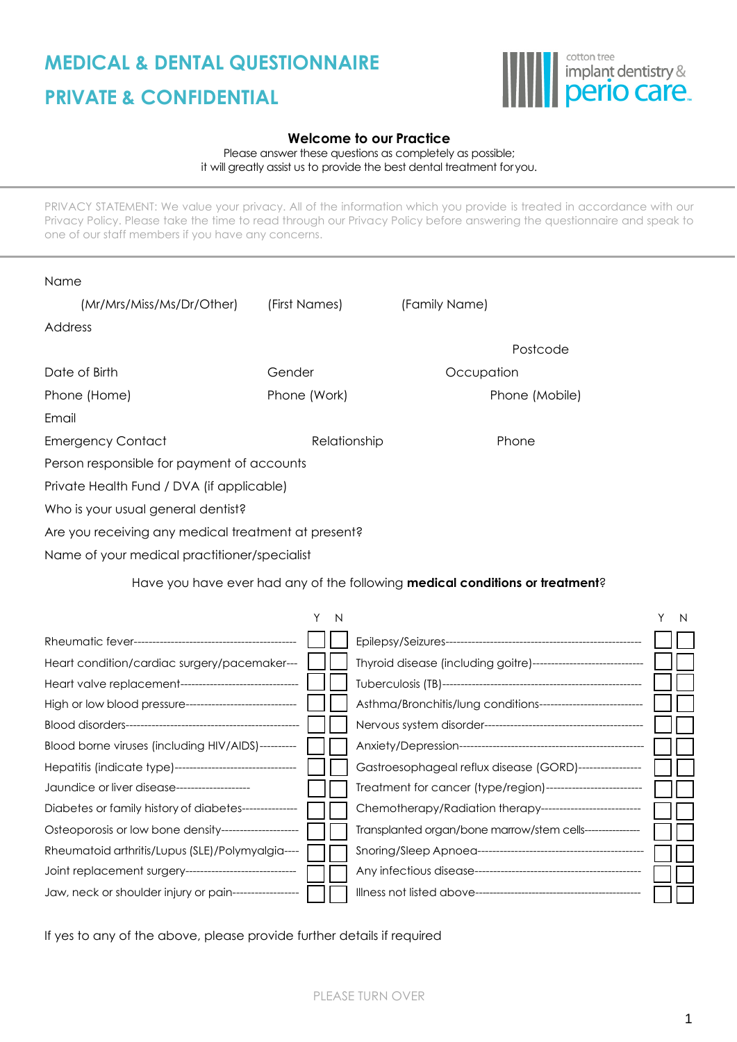## **MEDICAL & DENTAL QUESTIONNAIRE PRIVATE & CONFIDENTIAL**



## **Welcome to our Practice**

Please answer these questions as completely as possible; it will greatly assist us to provide the best dental treatment foryou.

PRIVACY STATEMENT: We value your privacy. All of the information which you provide is treated in accordance with our Privacy Policy. Please take the time to read through our Privacy Policy before answering the questionnaire and speak to one of our staff members if you have any concerns.

| Name                                                       |                   |               |                                                                                      |        |
|------------------------------------------------------------|-------------------|---------------|--------------------------------------------------------------------------------------|--------|
| (Mr/Mrs/Miss/Ms/Dr/Other)                                  | (First Names)     | (Family Name) |                                                                                      |        |
| Address                                                    |                   |               |                                                                                      |        |
|                                                            |                   |               | Postcode                                                                             |        |
| Date of Birth                                              | Gender            |               | Occupation                                                                           |        |
| Phone (Home)                                               | Phone (Work)      |               | Phone (Mobile)                                                                       |        |
| Email                                                      |                   |               |                                                                                      |        |
| <b>Emergency Contact</b>                                   | Relationship      |               | Phone                                                                                |        |
| Person responsible for payment of accounts                 |                   |               |                                                                                      |        |
| Private Health Fund / DVA (if applicable)                  |                   |               |                                                                                      |        |
| Who is your usual general dentist?                         |                   |               |                                                                                      |        |
| Are you receiving any medical treatment at present?        |                   |               |                                                                                      |        |
| Name of your medical practitioner/specialist               |                   |               |                                                                                      |        |
|                                                            |                   |               | Have you have ever had any of the following <b>medical conditions or treatment</b> ? |        |
|                                                            |                   |               |                                                                                      |        |
|                                                            | Y<br>$\mathsf{N}$ |               |                                                                                      | Y<br>N |
|                                                            |                   |               |                                                                                      |        |
| Heart condition/cardiac surgery/pacemaker---               |                   |               | Thyroid disease (including goitre)------------------------------                     |        |
| Heart valve replacement--------------------------------    |                   |               |                                                                                      |        |
| High or low blood pressure-----------------------------    |                   |               | Asthma/Bronchitis/lung conditions---------------------------                         |        |
|                                                            |                   |               |                                                                                      |        |
| Blood borne viruses (including HIV/AIDS)---------          |                   |               |                                                                                      |        |
| Hepatitis (indicate type)--------------------------------- |                   |               | Gastroesophageal reflux disease (GORD)----------------                               |        |
| Jaundice or liver disease--------------------              |                   |               | Treatment for cancer (type/region)--------------------------                         |        |
| Diabetes or family history of diabetes--------------       |                   |               | Chemotherapy/Radiation therapy--------------------------                             |        |
| Osteoporosis or low bone density--------------------       |                   |               | Transplanted organ/bone marrow/stem cells---------------                             |        |

If yes to any of the above, please provide further details if required

Rheumatoid arthritis/Lupus (SLE)/Polymyalgia---- **Submatical Shortang/Sleep Apnoea------------**

Joint replacement surgery------------------------------ Any infectious disease--------------------------------------------- Jaw, neck or shoulder injury or pain------------------ Illness not listed above-----------------------------------------------